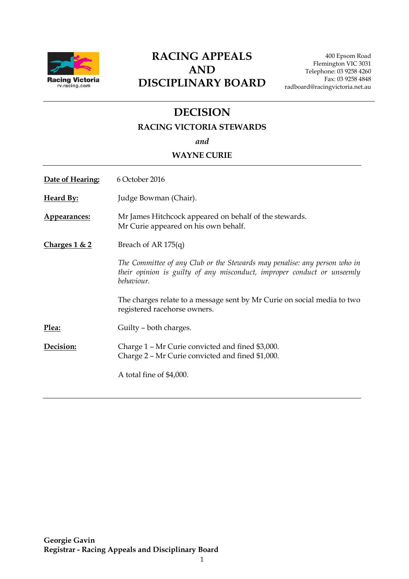

### **RACING APPEALS AND DISCIPLINARY BOARD**

400 Epsom Road Flemington VIC 3031 Telephone: 03 9258 4260 Fax: 03 9258 4848 radboard@racingvictoria.net.au

## **DECISION**

### **RACING VICTORIA STEWARDS**

*and*

#### **WAYNE CURIE**

| Date of Hearing: | 6 October 2016                                                                                                                                                     |
|------------------|--------------------------------------------------------------------------------------------------------------------------------------------------------------------|
| <b>Heard By:</b> | Judge Bowman (Chair).                                                                                                                                              |
| Appearances:     | Mr James Hitchcock appeared on behalf of the stewards.<br>Mr Curie appeared on his own behalf.                                                                     |
| Charges $1 & 2$  | Breach of AR 175(q)                                                                                                                                                |
|                  | The Committee of any Club or the Stewards may penalise: any person who in<br>their opinion is guilty of any misconduct, improper conduct or unseemly<br>behaviour. |
|                  | The charges relate to a message sent by Mr Curie on social media to two<br>registered racehorse owners.                                                            |
| Plea:            | Guilty – both charges.                                                                                                                                             |
| Decision:        | Charge 1 – Mr Curie convicted and fined \$3,000.<br>Charge 2 - Mr Curie convicted and fined \$1,000.                                                               |
|                  | A total fine of \$4,000.                                                                                                                                           |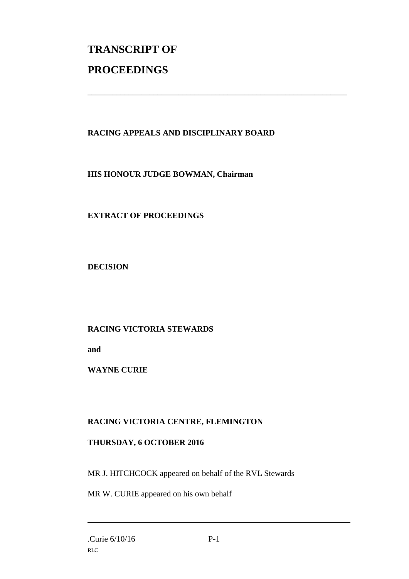# **TRANSCRIPT OF PROCEEDINGS**

### **RACING APPEALS AND DISCIPLINARY BOARD**

\_\_\_\_\_\_\_\_\_\_\_\_\_\_\_\_\_\_\_\_\_\_\_\_\_\_\_\_\_\_\_\_\_\_\_\_\_\_\_\_\_\_\_\_\_\_\_\_\_\_\_\_\_\_\_\_\_\_\_\_\_\_\_

**HIS HONOUR JUDGE BOWMAN, Chairman**

**EXTRACT OF PROCEEDINGS**

**DECISION**

### **RACING VICTORIA STEWARDS**

**and** 

**WAYNE CURIE**

### **RACING VICTORIA CENTRE, FLEMINGTON**

### **THURSDAY, 6 OCTOBER 2016**

MR J. HITCHCOCK appeared on behalf of the RVL Stewards

MR W. CURIE appeared on his own behalf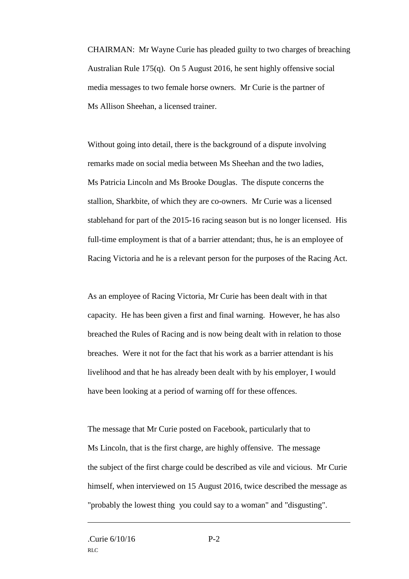CHAIRMAN: Mr Wayne Curie has pleaded guilty to two charges of breaching Australian Rule 175(q). On 5 August 2016, he sent highly offensive social media messages to two female horse owners. Mr Curie is the partner of Ms Allison Sheehan, a licensed trainer.

Without going into detail, there is the background of a dispute involving remarks made on social media between Ms Sheehan and the two ladies, Ms Patricia Lincoln and Ms Brooke Douglas. The dispute concerns the stallion, Sharkbite, of which they are co-owners. Mr Curie was a licensed stablehand for part of the 2015-16 racing season but is no longer licensed. His full-time employment is that of a barrier attendant; thus, he is an employee of Racing Victoria and he is a relevant person for the purposes of the Racing Act.

As an employee of Racing Victoria, Mr Curie has been dealt with in that capacity. He has been given a first and final warning. However, he has also breached the Rules of Racing and is now being dealt with in relation to those breaches. Were it not for the fact that his work as a barrier attendant is his livelihood and that he has already been dealt with by his employer, I would have been looking at a period of warning off for these offences.

The message that Mr Curie posted on Facebook, particularly that to Ms Lincoln, that is the first charge, are highly offensive. The message the subject of the first charge could be described as vile and vicious. Mr Curie himself, when interviewed on 15 August 2016, twice described the message as "probably the lowest thing you could say to a woman" and "disgusting".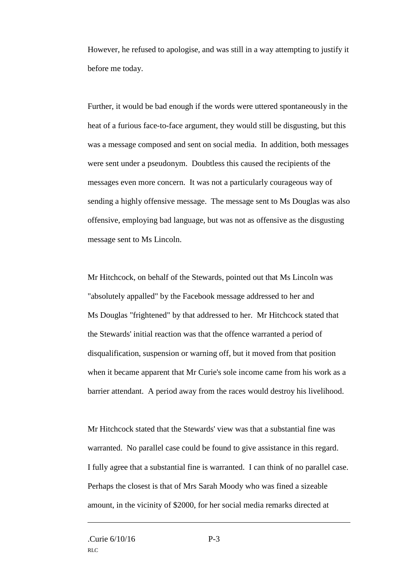However, he refused to apologise, and was still in a way attempting to justify it before me today.

Further, it would be bad enough if the words were uttered spontaneously in the heat of a furious face-to-face argument, they would still be disgusting, but this was a message composed and sent on social media. In addition, both messages were sent under a pseudonym. Doubtless this caused the recipients of the messages even more concern. It was not a particularly courageous way of sending a highly offensive message. The message sent to Ms Douglas was also offensive, employing bad language, but was not as offensive as the disgusting message sent to Ms Lincoln.

Mr Hitchcock, on behalf of the Stewards, pointed out that Ms Lincoln was "absolutely appalled" by the Facebook message addressed to her and Ms Douglas "frightened" by that addressed to her. Mr Hitchcock stated that the Stewards' initial reaction was that the offence warranted a period of disqualification, suspension or warning off, but it moved from that position when it became apparent that Mr Curie's sole income came from his work as a barrier attendant. A period away from the races would destroy his livelihood.

Mr Hitchcock stated that the Stewards' view was that a substantial fine was warranted. No parallel case could be found to give assistance in this regard. I fully agree that a substantial fine is warranted. I can think of no parallel case. Perhaps the closest is that of Mrs Sarah Moody who was fined a sizeable amount, in the vicinity of \$2000, for her social media remarks directed at